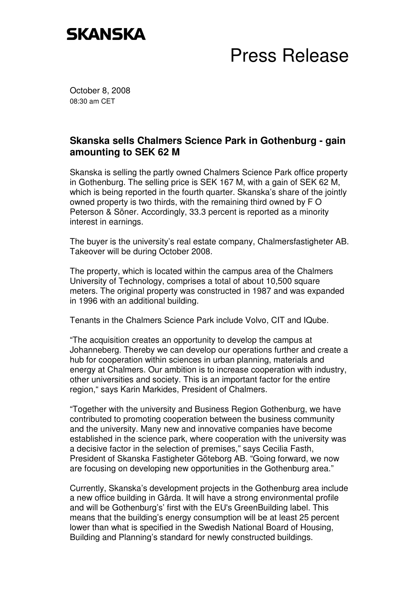## **SKANSKA**

## Press Release

October 8, 2008 08:30 am CET

## **Skanska sells Chalmers Science Park in Gothenburg - gain amounting to SEK 62 M**

Skanska is selling the partly owned Chalmers Science Park office property in Gothenburg. The selling price is SEK 167 M, with a gain of SEK 62 M, which is being reported in the fourth quarter. Skanska's share of the jointly owned property is two thirds, with the remaining third owned by F O Peterson & Söner. Accordingly, 33.3 percent is reported as a minority interest in earnings.

The buyer is the university's real estate company, Chalmersfastigheter AB. Takeover will be during October 2008.

The property, which is located within the campus area of the Chalmers University of Technology, comprises a total of about 10,500 square meters. The original property was constructed in 1987 and was expanded in 1996 with an additional building.

Tenants in the Chalmers Science Park include Volvo, CIT and IQube.

"The acquisition creates an opportunity to develop the campus at Johanneberg. Thereby we can develop our operations further and create a hub for cooperation within sciences in urban planning, materials and energy at Chalmers. Our ambition is to increase cooperation with industry, other universities and society. This is an important factor for the entire region," says Karin Markides, President of Chalmers.

"Together with the university and Business Region Gothenburg, we have contributed to promoting cooperation between the business community and the university. Many new and innovative companies have become established in the science park, where cooperation with the university was a decisive factor in the selection of premises," says Cecilia Fasth, President of Skanska Fastigheter Göteborg AB. "Going forward, we now are focusing on developing new opportunities in the Gothenburg area."

Currently, Skanska's development projects in the Gothenburg area include a new office building in Gårda. It will have a strong environmental profile and will be Gothenburg's' first with the EU's GreenBuilding label. This means that the building's energy consumption will be at least 25 percent lower than what is specified in the Swedish National Board of Housing, Building and Planning's standard for newly constructed buildings.